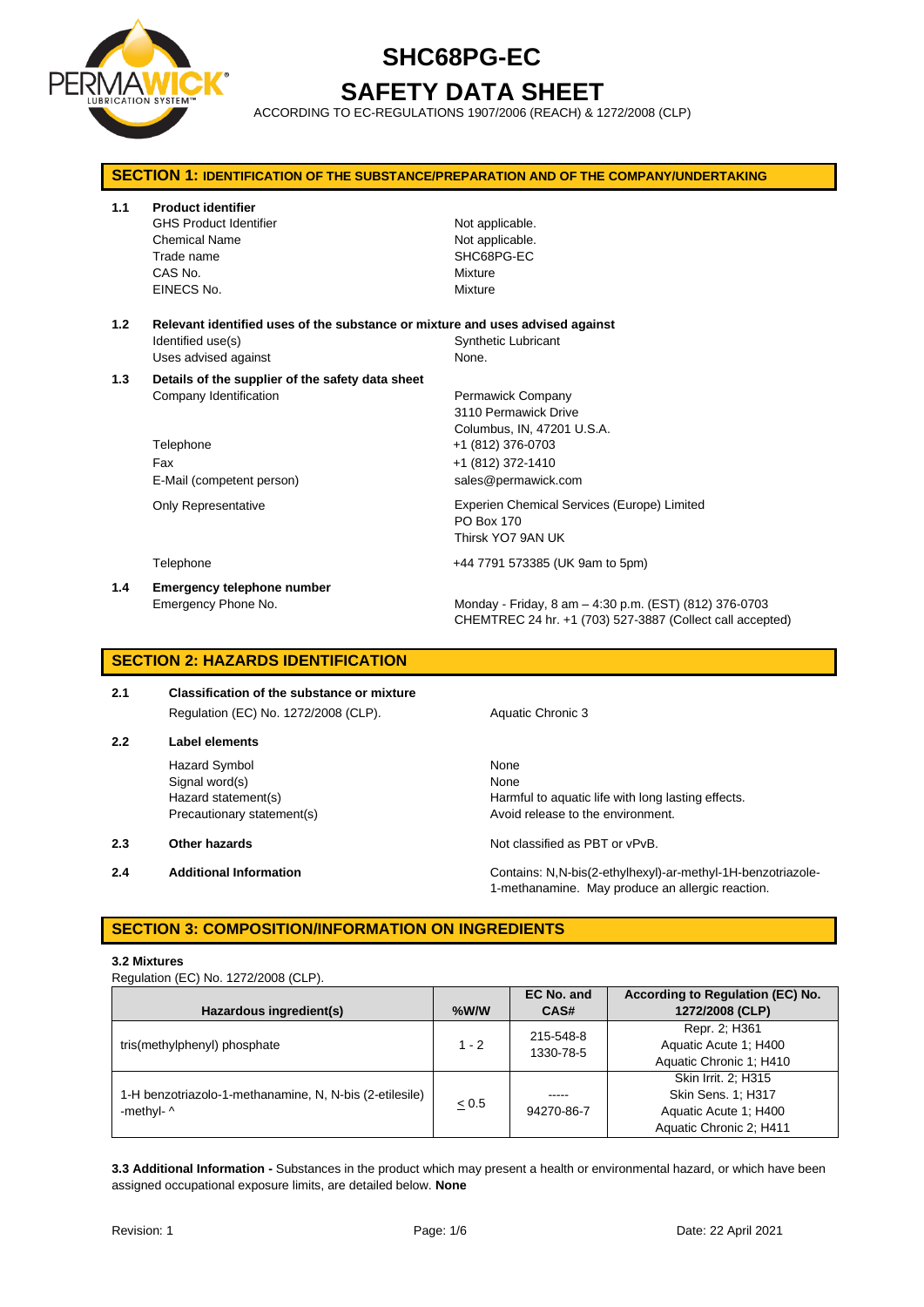

## **SHC68PG-EC SAFETY DATA SHEET**

ACCORDING TO EC-REGULATIONS 1907/2006 (REACH) & 1272/2008 (CLP)

| <b>SECTION 1: IDENTIFICATION OF THE SUBSTANCE/PREPARATION AND OF THE COMPANY/UNDERTAKING</b> |                                                                               |                                                           |  |
|----------------------------------------------------------------------------------------------|-------------------------------------------------------------------------------|-----------------------------------------------------------|--|
| 1.1                                                                                          | <b>Product identifier</b>                                                     |                                                           |  |
|                                                                                              | <b>GHS Product Identifier</b>                                                 | Not applicable.                                           |  |
|                                                                                              | <b>Chemical Name</b>                                                          | Not applicable.                                           |  |
|                                                                                              | Trade name                                                                    | SHC68PG-EC                                                |  |
|                                                                                              | CAS No.                                                                       | Mixture                                                   |  |
|                                                                                              | EINECS No.                                                                    | Mixture                                                   |  |
| 1.2                                                                                          | Relevant identified uses of the substance or mixture and uses advised against |                                                           |  |
|                                                                                              | Identified use(s)                                                             | <b>Synthetic Lubricant</b>                                |  |
|                                                                                              | Uses advised against                                                          | None.                                                     |  |
| 1.3                                                                                          | Details of the supplier of the safety data sheet                              |                                                           |  |
|                                                                                              | Company Identification                                                        | Permawick Company                                         |  |
|                                                                                              |                                                                               | 3110 Permawick Drive                                      |  |
| Columbus, IN, 47201 U.S.A.<br>Telephone<br>+1 (812) 376-0703                                 |                                                                               |                                                           |  |
|                                                                                              |                                                                               |                                                           |  |
|                                                                                              | Fax                                                                           | +1 (812) 372-1410                                         |  |
|                                                                                              | E-Mail (competent person)                                                     | sales@permawick.com                                       |  |
|                                                                                              | Only Representative                                                           | Experien Chemical Services (Europe) Limited               |  |
|                                                                                              |                                                                               | PO Box 170                                                |  |
|                                                                                              |                                                                               | Thirsk YO7 9AN UK                                         |  |
|                                                                                              | Telephone                                                                     | +44 7791 573385 (UK 9am to 5pm)                           |  |
| 1.4                                                                                          | Emergency telephone number                                                    |                                                           |  |
|                                                                                              | Emergency Phone No.                                                           | Monday - Friday, 8 am - 4:30 p.m. (EST) (812) 376-0703    |  |
|                                                                                              |                                                                               | CHEMTREC 24 hr. +1 (703) 527-3887 (Collect call accepted) |  |

### **SECTION 2: HAZARDS IDENTIFICATION**

**2.1 Classification of the substance or mixture** Regulation (EC) No. 1272/2008 (CLP). Aquatic Chronic 3

**2.2 Label elements** Hazard Symbol None

Signal word(s) None

- 
- 

Hazard statement(s) **Harmful to aquatic life with long lasting effects.** Precautionary statement(s) example a method of release to the environment.

**2.3 Other hazards Details According to the COV of COVID-100** Not classified as PBT or vPvB.

**2.4 Additional Information** Contains: N,N-bis(2-ethylhexyl)-ar-methyl-1H-benzotriazole-1-methanamine. May produce an allergic reaction.

### **SECTION 3: COMPOSITION/INFORMATION ON INGREDIENTS**

#### **3.2 Mixtures**

Regulation (EC) No. 1272/2008 (CLP).

|                                                         |            | EC No. and | According to Regulation (EC) No. |
|---------------------------------------------------------|------------|------------|----------------------------------|
| Hazardous ingredient(s)                                 | $%$ W/W    | CAS#       | 1272/2008 (CLP)                  |
|                                                         |            | 215-548-8  | Repr. 2; H361                    |
| tris(methylphenyl) phosphate                            | $1 - 2$    | 1330-78-5  | Aquatic Acute 1: H400            |
|                                                         |            |            | Aquatic Chronic 1; H410          |
|                                                         |            |            | Skin Irrit. 2; H315              |
| 1-H benzotriazolo-1-methanamine, N, N-bis (2-etilesile) | $\leq 0.5$ | -----      | Skin Sens. 1; H317               |
| -methyl- $\wedge$                                       |            | 94270-86-7 | Aquatic Acute 1: H400            |
|                                                         |            |            | Aquatic Chronic 2; H411          |

**3.3 Additional Information -** Substances in the product which may present a health or environmental hazard, or which have been assigned occupational exposure limits, are detailed below. **None**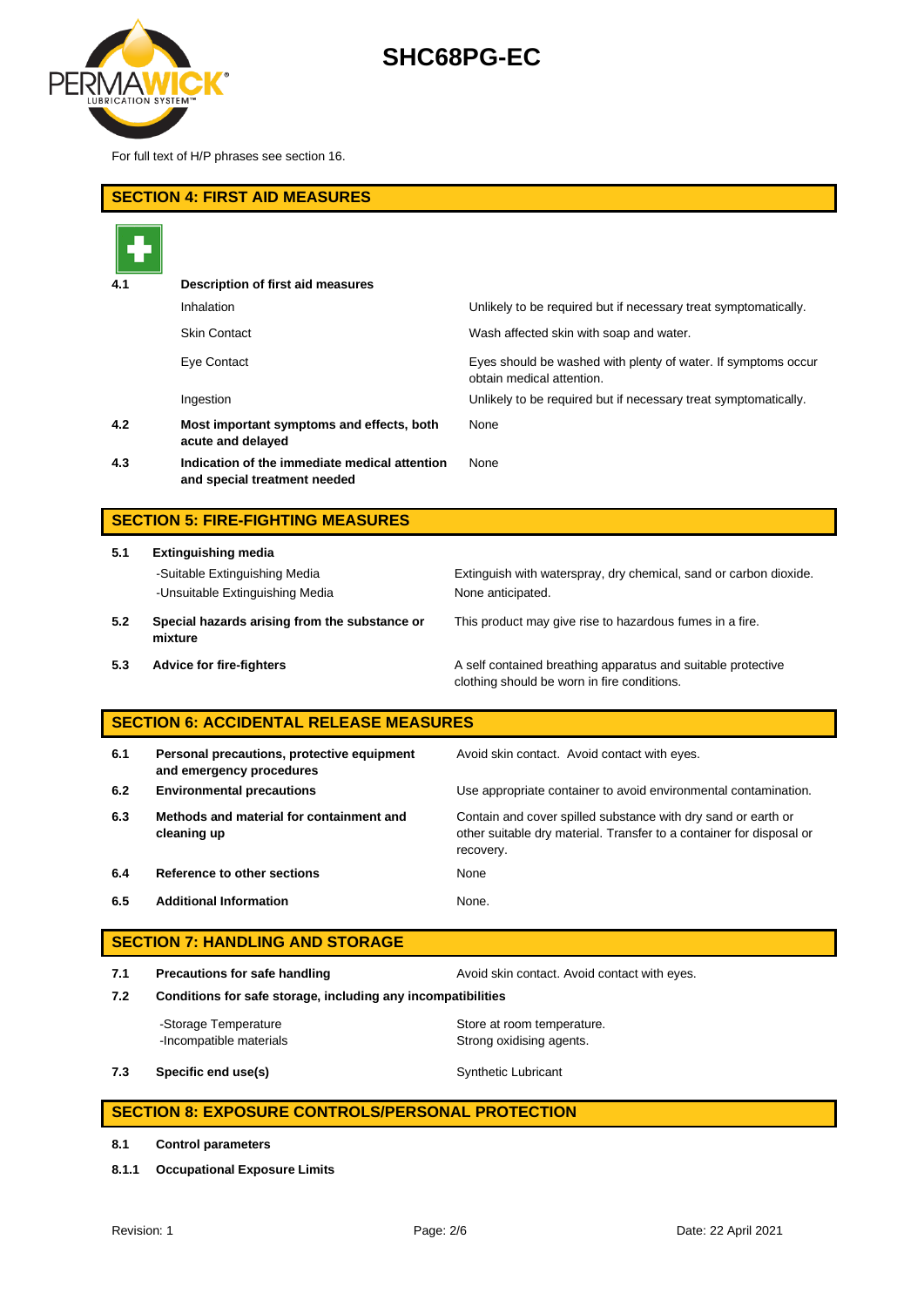

For full text of H/P phrases see section 16.

| <b>SECTION 4: FIRST AID MEASURES</b>          |                                                                               |                                                                                                             |  |
|-----------------------------------------------|-------------------------------------------------------------------------------|-------------------------------------------------------------------------------------------------------------|--|
|                                               |                                                                               |                                                                                                             |  |
| 4.1                                           | Description of first aid measures                                             |                                                                                                             |  |
|                                               | Inhalation                                                                    | Unlikely to be required but if necessary treat symptomatically.                                             |  |
|                                               | <b>Skin Contact</b>                                                           | Wash affected skin with soap and water.                                                                     |  |
|                                               | Eye Contact                                                                   | Eyes should be washed with plenty of water. If symptoms occur<br>obtain medical attention.                  |  |
|                                               | Ingestion                                                                     | Unlikely to be required but if necessary treat symptomatically.                                             |  |
| 4.2                                           | Most important symptoms and effects, both<br>acute and delayed                | None                                                                                                        |  |
| 4.3                                           | Indication of the immediate medical attention<br>and special treatment needed | None                                                                                                        |  |
|                                               |                                                                               |                                                                                                             |  |
|                                               | <b>SECTION 5: FIRE-FIGHTING MEASURES</b>                                      |                                                                                                             |  |
| 5.1                                           | <b>Extinguishing media</b>                                                    |                                                                                                             |  |
|                                               | -Suitable Extinguishing Media                                                 | Extinguish with waterspray, dry chemical, sand or carbon dioxide.                                           |  |
|                                               | -Unsuitable Extinguishing Media                                               | None anticipated.                                                                                           |  |
| 5.2                                           | Special hazards arising from the substance or<br>mixture                      | This product may give rise to hazardous fumes in a fire.                                                    |  |
| 5.3                                           | <b>Advice for fire-fighters</b>                                               | A self contained breathing apparatus and suitable protective<br>clothing should be worn in fire conditions. |  |
| <b>SECTION 6: ACCIDENTAL RELEASE MEASURES</b> |                                                                               |                                                                                                             |  |
| 6.1                                           | Personal precautions, protective equipment                                    | Avoid skin contact. Avoid contact with eves.                                                                |  |

|     | and emergency procedures                                |                                                                                                                                                    |
|-----|---------------------------------------------------------|----------------------------------------------------------------------------------------------------------------------------------------------------|
| 6.2 | <b>Environmental precautions</b>                        | Use appropriate container to avoid environmental contamination.                                                                                    |
| 6.3 | Methods and material for containment and<br>cleaning up | Contain and cover spilled substance with dry sand or earth or<br>other suitable dry material. Transfer to a container for disposal or<br>recovery. |
| 6.4 | Reference to other sections                             | None                                                                                                                                               |
| 6.5 | <b>Additional Information</b>                           | None.                                                                                                                                              |

| <b>SECTION 7: HANDLING AND STORAGE</b> |                                                                                                                                               |                                                        |  |  |
|----------------------------------------|-----------------------------------------------------------------------------------------------------------------------------------------------|--------------------------------------------------------|--|--|
| 7.1<br>7.2                             | Precautions for safe handling<br>Avoid skin contact. Avoid contact with eyes.<br>Conditions for safe storage, including any incompatibilities |                                                        |  |  |
|                                        | -Storage Temperature<br>-Incompatible materials                                                                                               | Store at room temperature.<br>Strong oxidising agents. |  |  |
| 7.3                                    | Specific end use(s)                                                                                                                           | <b>Synthetic Lubricant</b>                             |  |  |

### **SECTION 8: EXPOSURE CONTROLS/PERSONAL PROTECTION**

- **8.1 Control parameters**
- **8.1.1 Occupational Exposure Limits**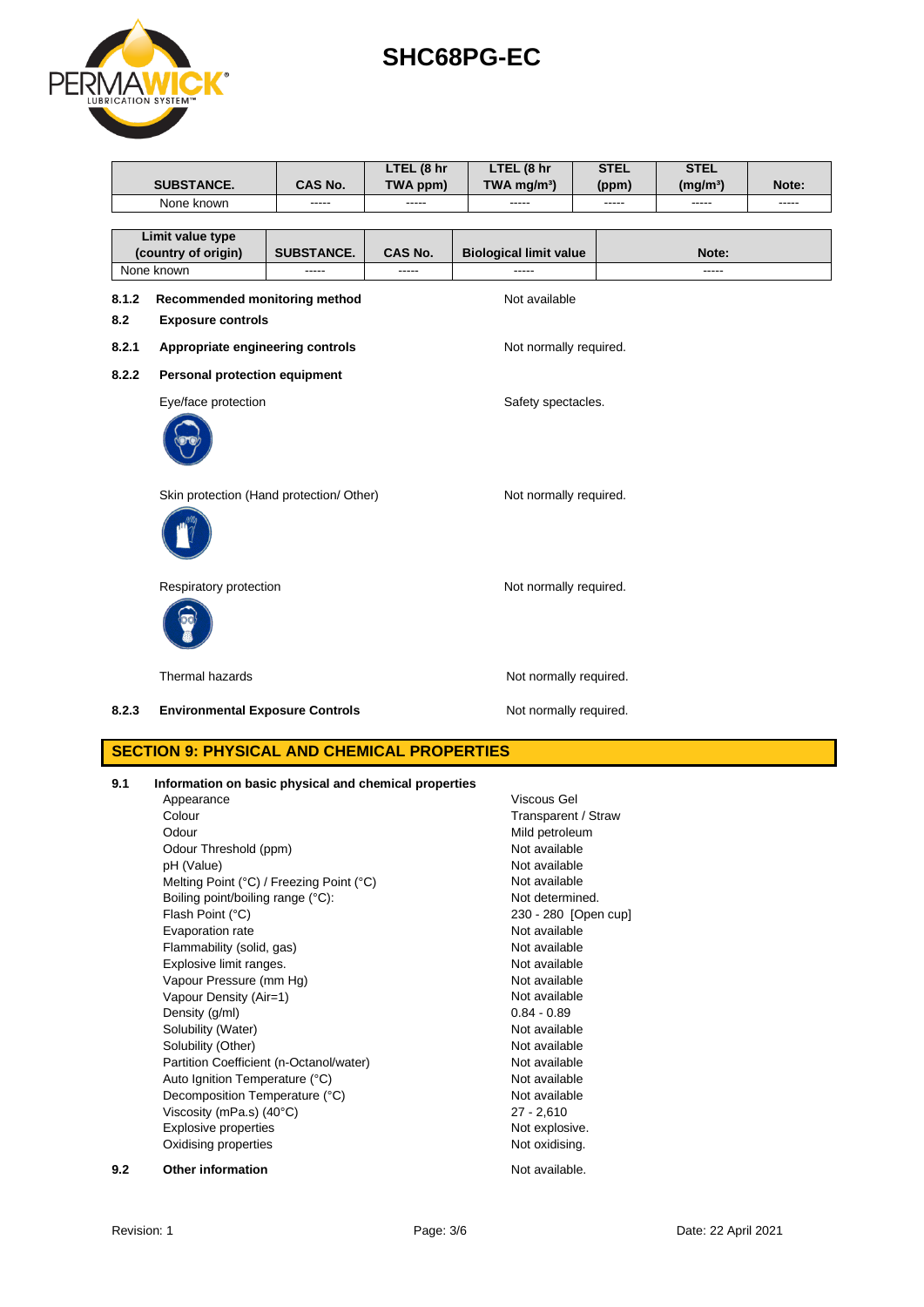| Revision: 1 | Page: 3/6 | Date: 22 April 2021 |
|-------------|-----------|---------------------|
|             |           |                     |

|       | Thermal hazards                                                                                                                                                                                                                                                                                                                                                                       | Not normally required.                                                                                                                                                                                                                                   |
|-------|---------------------------------------------------------------------------------------------------------------------------------------------------------------------------------------------------------------------------------------------------------------------------------------------------------------------------------------------------------------------------------------|----------------------------------------------------------------------------------------------------------------------------------------------------------------------------------------------------------------------------------------------------------|
| 8.2.3 | <b>Environmental Exposure Controls</b>                                                                                                                                                                                                                                                                                                                                                | Not normally required.                                                                                                                                                                                                                                   |
|       | <b>SECTION 9: PHYSICAL AND CHEMICAL PROPERTIES</b>                                                                                                                                                                                                                                                                                                                                    |                                                                                                                                                                                                                                                          |
| 9.1   | Information on basic physical and chemical properties<br>Appearance<br>Colour<br>Odour<br>Odour Threshold (ppm)<br>pH (Value)<br>Melting Point (°C) / Freezing Point (°C)<br>Boiling point/boiling range (°C):<br>Flash Point (°C)<br>Evaporation rate<br>Flammability (solid, gas)<br>Explosive limit ranges.<br>Vapour Pressure (mm Hg)<br>Vapour Density (Air=1)<br>Density (g/ml) | Viscous Gel<br>Transparent / Straw<br>Mild petroleum<br>Not available<br>Not available<br>Not available<br>Not determined.<br>230 - 280 [Open cup]<br>Not available<br>Not available<br>Not available<br>Not available<br>Not available<br>$0.84 - 0.89$ |
|       | Solubility (Water)<br>Solubility (Other)<br>Partition Coefficient (n-Octanol/water)<br>Auto Ignition Temperature (°C)<br>Decomposition Temperature (°C)<br>Viscosity (mPa.s) $(40^{\circ}C)$<br><b>Explosive properties</b><br>Oxidising properties                                                                                                                                   | Not available<br>Not available<br>Not available<br>Not available<br>Not available<br>$27 - 2,610$<br>Not explosive.<br>Not oxidising.                                                                                                                    |
| 9.2   | Other information                                                                                                                                                                                                                                                                                                                                                                     | Not available.                                                                                                                                                                                                                                           |

| 8.2.3 | <b>Environmental Exposure Controls</b> |  |
|-------|----------------------------------------|--|

Respiratory protection Not normally required.

Skin protection (Hand protection/ Other) Not normally required.



**8.2.2 Personal protection equipment**

**Limit value type** 

**SUBSTANCE. CAS No.**



# **SHC68PG-EC**

None known ----- ----- ----- ----- ----- -----

**LTEL (8 hr TWA mg/m³)**

**STEL (ppm)** **STEL** 

**(mg/m³) Note:**

**LTEL (8 hr TWA ppm)**

**(country of origin) SUBSTANCE. CAS No. Biological limit value Note:** None known ----- ----- ----- -----

**8.1.2 Recommended monitoring method Not available** 

Eye/face protection extensive spectacles.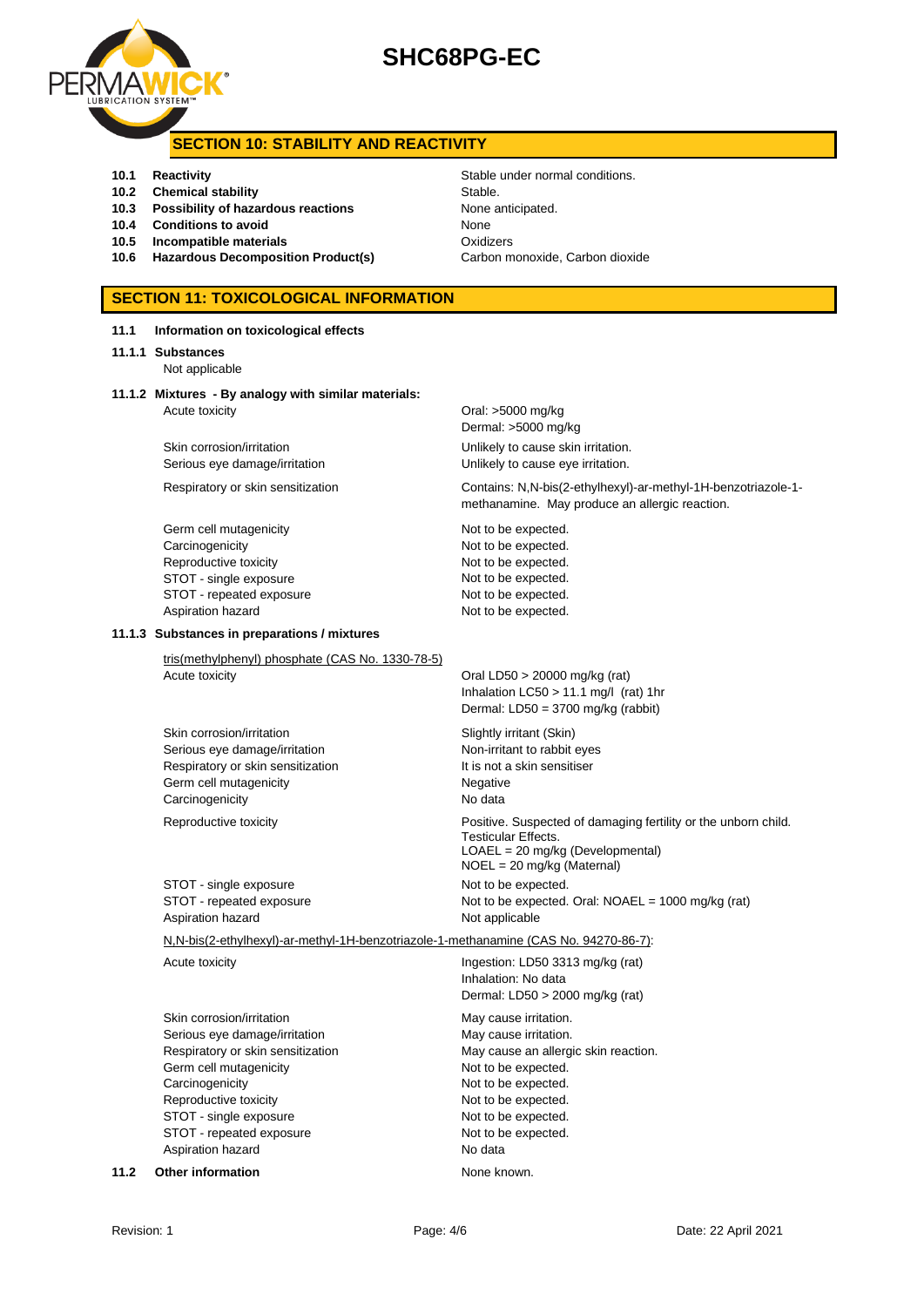

### **SECTION 10: STABILITY AND REACTIVITY**

- **10.1 Reactivity 10.1 Reactivity 10.1 Reactivity Stable under normal conditions.**
- **10.2 Chemical stability** Stable.
- **10.3 Possibility of hazardous reactions** None anticipated.
- **10.4 Conditions to avoid None**
- **10.5 Incompatible materials 10.5 Oxidizers**
- 10.6 **Hazardous Decomposition Product(s)** Carbon monoxide, Carbon dioxide

## **SECTION 11: TOXICOLOGICAL INFORMATION**

| 11.1 | Information on toxicological effects                                                                                                                                                                                                             |                                                                                                                                                                                                                      |
|------|--------------------------------------------------------------------------------------------------------------------------------------------------------------------------------------------------------------------------------------------------|----------------------------------------------------------------------------------------------------------------------------------------------------------------------------------------------------------------------|
|      | 11.1.1 Substances<br>Not applicable                                                                                                                                                                                                              |                                                                                                                                                                                                                      |
|      | 11.1.2 Mixtures - By analogy with similar materials:<br>Acute toxicity                                                                                                                                                                           | Oral: $>5000$ mg/kg<br>Dermal: >5000 mg/kg                                                                                                                                                                           |
|      | Skin corrosion/irritation<br>Serious eye damage/irritation                                                                                                                                                                                       | Unlikely to cause skin irritation.<br>Unlikely to cause eye irritation.                                                                                                                                              |
|      | Respiratory or skin sensitization                                                                                                                                                                                                                | Contains: N,N-bis(2-ethylhexyl)-ar-methyl-1H-benzotriazole-1-<br>methanamine. May produce an allergic reaction.                                                                                                      |
|      | Germ cell mutagenicity<br>Carcinogenicity<br>Reproductive toxicity<br>STOT - single exposure<br>STOT - repeated exposure<br>Aspiration hazard                                                                                                    | Not to be expected.<br>Not to be expected.<br>Not to be expected.<br>Not to be expected.<br>Not to be expected.<br>Not to be expected.                                                                               |
|      | 11.1.3 Substances in preparations / mixtures                                                                                                                                                                                                     |                                                                                                                                                                                                                      |
|      | tris(methylphenyl) phosphate (CAS No. 1330-78-5)<br>Acute toxicity                                                                                                                                                                               | Oral LD50 $>$ 20000 mg/kg (rat)<br>Inhalation LC50 > 11.1 mg/l (rat) 1hr<br>Dermal: LD50 = 3700 mg/kg (rabbit)                                                                                                       |
|      | Skin corrosion/irritation<br>Serious eye damage/irritation<br>Respiratory or skin sensitization<br>Germ cell mutagenicity<br>Carcinogenicity                                                                                                     | Slightly irritant (Skin)<br>Non-irritant to rabbit eyes<br>It is not a skin sensitiser<br>Negative<br>No data                                                                                                        |
|      | Reproductive toxicity                                                                                                                                                                                                                            | Positive. Suspected of damaging fertility or the unborn child.<br><b>Testicular Effects.</b><br>LOAEL = 20 mg/kg (Developmental)<br>$NOEL = 20$ mg/kg (Maternal)                                                     |
|      | STOT - single exposure<br>STOT - repeated exposure<br>Aspiration hazard                                                                                                                                                                          | Not to be expected.<br>Not to be expected. Oral: NOAEL = 1000 mg/kg (rat)<br>Not applicable                                                                                                                          |
|      | N,N-bis(2-ethylhexyl)-ar-methyl-1H-benzotriazole-1-methanamine (CAS No. 94270-86-7):                                                                                                                                                             |                                                                                                                                                                                                                      |
|      | Acute toxicity                                                                                                                                                                                                                                   | Ingestion: LD50 3313 mg/kg (rat)<br>Inhalation: No data<br>Dermal: LD50 > 2000 mg/kg (rat)                                                                                                                           |
|      | Skin corrosion/irritation<br>Serious eye damage/irritation<br>Respiratory or skin sensitization<br>Germ cell mutagenicity<br>Carcinogenicity<br>Reproductive toxicity<br>STOT - single exposure<br>STOT - repeated exposure<br>Aspiration hazard | May cause irritation.<br>May cause irritation.<br>May cause an allergic skin reaction.<br>Not to be expected.<br>Not to be expected.<br>Not to be expected.<br>Not to be expected.<br>Not to be expected.<br>No data |
| 11.2 | <b>Other information</b>                                                                                                                                                                                                                         | None known.                                                                                                                                                                                                          |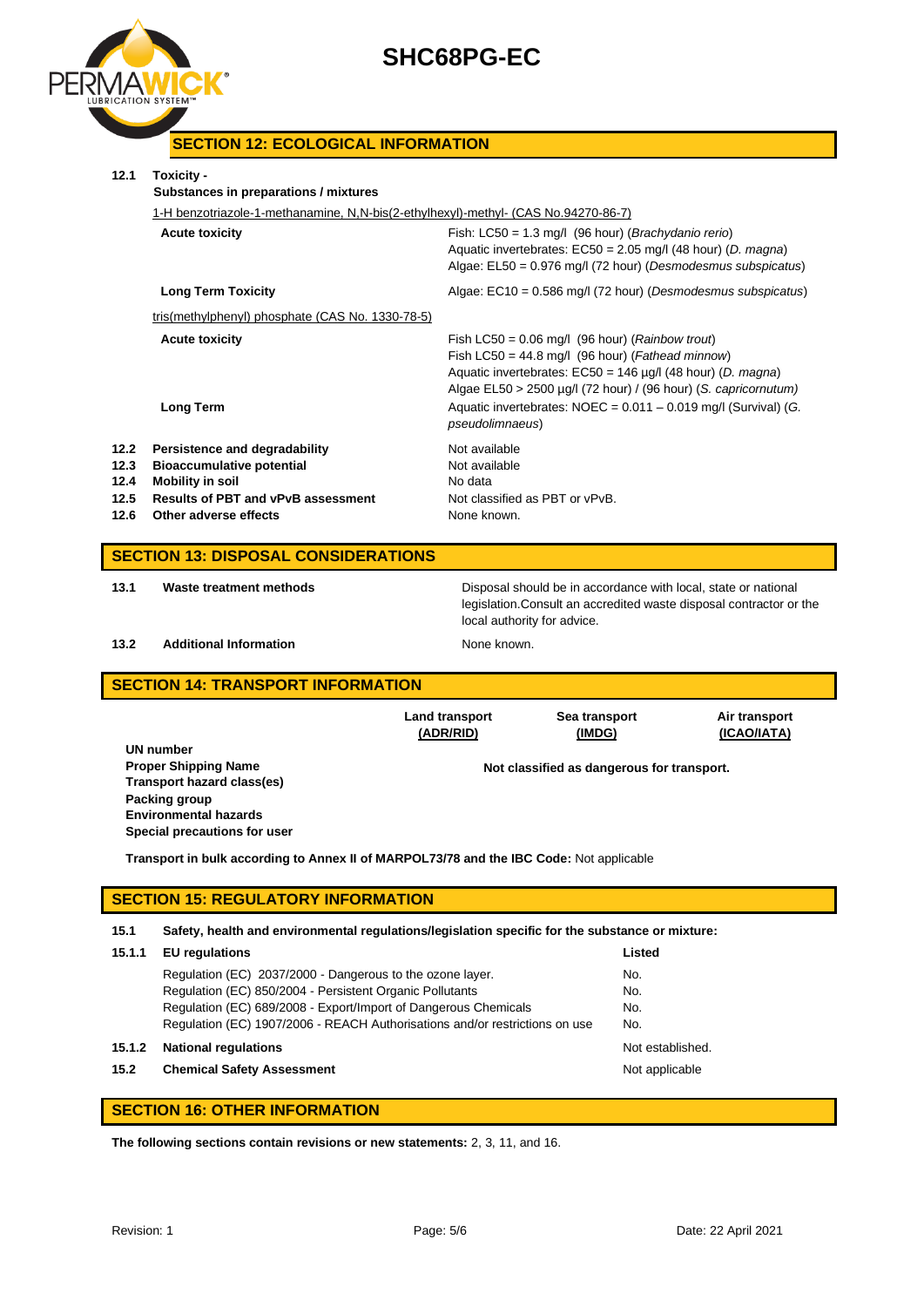

### **SECTION 12: ECOLOGICAL INFORMATION**

| 12.1                                       | Toxicity -<br>Substances in preparations / mixtures                                                                                                         |                                                                                                                                                                                                                                                                                                                                            |  |  |
|--------------------------------------------|-------------------------------------------------------------------------------------------------------------------------------------------------------------|--------------------------------------------------------------------------------------------------------------------------------------------------------------------------------------------------------------------------------------------------------------------------------------------------------------------------------------------|--|--|
|                                            | 1-H benzotriazole-1-methanamine, N,N-bis(2-ethylhexyl)-methyl- (CAS No.94270-86-7)                                                                          |                                                                                                                                                                                                                                                                                                                                            |  |  |
|                                            | <b>Acute toxicity</b>                                                                                                                                       | Fish: $LC50 = 1.3$ mg/l (96 hour) ( <i>Brachydanio rerio</i> )<br>Aquatic invertebrates: $EC50 = 2.05$ mg/l (48 hour) (D. magna)<br>Algae: EL50 = 0.976 mg/l (72 hour) (Desmodesmus subspicatus)                                                                                                                                           |  |  |
|                                            | <b>Long Term Toxicity</b>                                                                                                                                   | Algae: $EC10 = 0.586$ mg/l (72 hour) (Desmodesmus subspicatus)                                                                                                                                                                                                                                                                             |  |  |
|                                            | tris(methylphenyl) phosphate (CAS No. 1330-78-5)                                                                                                            |                                                                                                                                                                                                                                                                                                                                            |  |  |
|                                            | <b>Acute toxicity</b><br><b>Long Term</b>                                                                                                                   | Fish LC50 = $0.06$ mg/l (96 hour) ( <i>Rainbow trout</i> )<br>Fish LC50 = 44.8 mg/l (96 hour) (Fathead minnow)<br>Aquatic invertebrates: $EC50 = 146$ µg/l (48 hour) (D. magna)<br>Algae EL50 > 2500 µg/l (72 hour) / (96 hour) (S. capricornutum)<br>Aquatic invertebrates: $NOEC = 0.011 - 0.019$ mg/l (Survival) (G.<br>pseudolimnaeus) |  |  |
| 12.2<br>12.3<br>12.4<br>12.5<br>12.6       | Persistence and degradability<br><b>Bioaccumulative potential</b><br>Mobility in soil<br><b>Results of PBT and vPvB assessment</b><br>Other adverse effects | Not available<br>Not available<br>No data<br>Not classified as PBT or vPvB.<br>None known.                                                                                                                                                                                                                                                 |  |  |
| <b>SECTION 13: DISPOSAL CONSIDERATIONS</b> |                                                                                                                                                             |                                                                                                                                                                                                                                                                                                                                            |  |  |
| 13.1                                       | Waste treatment methods                                                                                                                                     | Disposal should be in accordance with local, state or national<br>legislation. Consult an accredited waste disposal contractor or the                                                                                                                                                                                                      |  |  |

#### **13.2 Additional Information None known.**

local authority for advice.

### **SECTION 14: TRANSPORT INFORMATION**

|                              | Land transport<br>(ADR/RID) | Sea transport<br>(IMDG)                    | Air transport<br>(ICAO/IATA) |
|------------------------------|-----------------------------|--------------------------------------------|------------------------------|
| UN number                    |                             |                                            |                              |
| <b>Proper Shipping Name</b>  |                             | Not classified as dangerous for transport. |                              |
| Transport hazard class(es)   |                             |                                            |                              |
| Packing group                |                             |                                            |                              |
| <b>Environmental hazards</b> |                             |                                            |                              |
| Special precautions for user |                             |                                            |                              |

**Transport in bulk according to Annex II of MARPOL73/78 and the IBC Code:** Not applicable

#### **SECTION 15: REGULATORY INFORMATION**

#### **15.1 Safety, health and environmental regulations/legislation specific for the substance or mixture:**

| 15.1.1 | <b>EU</b> regulations                                                       | Listed           |
|--------|-----------------------------------------------------------------------------|------------------|
|        | Regulation (EC) 2037/2000 - Dangerous to the ozone layer.                   | No.              |
|        | Regulation (EC) 850/2004 - Persistent Organic Pollutants                    | No.              |
|        | Regulation (EC) 689/2008 - Export/Import of Dangerous Chemicals             | No.              |
|        | Regulation (EC) 1907/2006 - REACH Authorisations and/or restrictions on use | No.              |
| 15.1.2 | <b>National regulations</b>                                                 | Not established. |
| 15.2   | <b>Chemical Safety Assessment</b>                                           | Not applicable   |
|        |                                                                             |                  |

### **SECTION 16: OTHER INFORMATION**

**The following sections contain revisions or new statements:** 2, 3, 11, and 16.